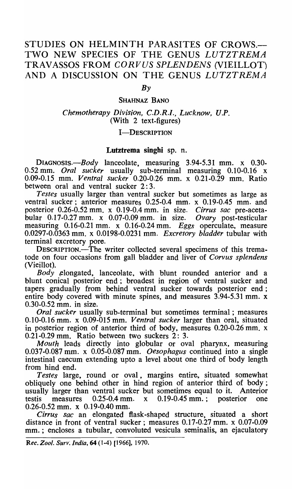# STUDIES ON HELMINTH PARASITES OF CROWS.-TWO NEW SPECIES OF THE GENUS LUTZTREMA TRAVASSOS FROM *CORVUS SPLENDENS* (VIEILLOT) AND A DISCUSSION ON THE GENUS LUTZTREMA

 $Bv$ 

#### SHAHNAZ BANO

### *Chemotherapy Division, C.D.R.I., Lucknow, V.P.*  (With 2 text-figures)

### **I-DESCRIPTION**

### Lutztrema singbi sp. n.

*DIAGNOSIS.-Body* lanceolate, measuring 3.94-5.31 mm. x 0.30- 0.52 mm. *Oral sucker* usually sub-terminal measuring 0.10-0.16 x 0.09-0.15 mm. *Ventral sucker* 0.20-0.26 mm. x 0.21-0.29 mm. Ratio between oral and ventral sucker 2:3.

*Testes* usually larger than ventral sucker but sometimes as large as ventral sucker; anterior measures 0.25-0.4 mm. x 0.19-0.45 mm. and posterior 0.26-0.52 mm. x 0.19-0.4 mm. in size. *Cirrus sac* pre-acetabular 0.17-0.27 mm. x 0.07 -0.09 mm. in size. *Ovary* post-testicular measuring 0.16-0.21 mm. x 0.16-0.24mm. *Eggs* operculate, measure 0.0297-0.0363 mm. x 0.0198-0.0231 mm. *Excretory bladder* tubular with terminal excretory pore.

DESCRIPTION.—The writer collected several specimens of this trematode on four occasions from gall bladder and liver of *Corvus splendens* (VieiIlot).

*Body* ,elongated, lanceolate, with blunt rounded anterior and a blunt conical posterior end; broadest in region of ventral sucker and tapers gradually from behind ventral sucker towards posterior end; entire body covered with minute spines, and measures 3.94-5.31 mm. x 0.30-0.52 mm. in size.

*Oral sucker* usually sub-terminal but sometimes terminal; measures 0.10-0.16 mm. x 0.09-015 mm. *Ventral sucker* larger than oral, situated in posterior region of anterior third of body, measures 0.20-0.26 mm. x 0.21-0.29 mm. Ratio between two suckers 2: 3.

*Mouth* leads directly into globular or oval pharynx, measuring 0.037-0.087 nun. x 0.05-0.087 mm. *Oesophagus* continued into a single intestinal caecum extending upto a level about one third of body length from hind end.

*Testes* large, round or oval, margins entire, situated somewhat obliquely one behind other in hind region of anterior third of body; usually larger than ventral sucker but sometimes equal to it. Anterior testis measures 0.25-0.4 mm. x 0.19-0.45 mm. ; posterior one 0.26-0.52 mm. x 0.19-0.40 mm.

*Cirrus sac* an elongated flask-shaped structure, situated a short distance in front of ventral sucker; measures 0.17-0.27 mm. x 0.07-0.09 mm.; encloses a tubular, convoluted vesicula seminalis, an ejaculatory

*Rec. Zoo/. Surv: India,* 64 (1-4) [1966], 1970.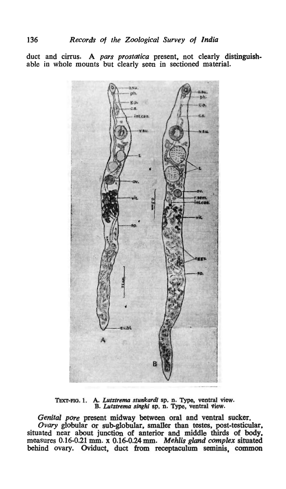duct and cirrus. A *pars prostatica* present, not clearly distinguishable in whole mounts but clearly seen in sectioned material.



TEXT-FIG. 1. A. Lutztrema stunkardi sp. n. Type, ventral view. B. *Lutztrema singhi* sp. n. Type, ventral view.

*Genital pore* present midway between oral and ventral sucker. Ovary globular or sub-globular, smaller than testes, post-testicular, situated near about junction of anterior and middle thirds of body, measures 0.16-0.21 mm. x 0.16-0.24 mm. *Mehlis gland complex* situated behind ovary. Oviduct, duct from receptaculum seminis, common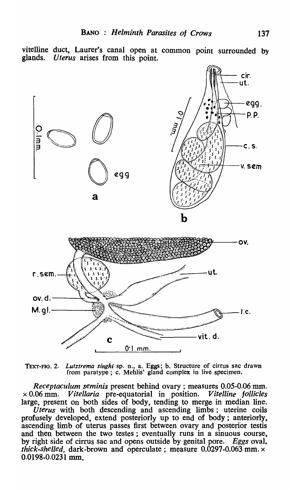vitelline duct. Laurer's canal open at common point surrounded by glands. *Uterus* arises from this point.



TEXT-FIG. 2. *Lutztrema singhi* sp. n., a. Eggs; b. Structure of cirrus sac drawn from paratype ; c. Mehlis' gland complex in live specimen.

*Receptaculum seminis* present behind ovary; measures 0.05-0.06 mm. x 0.06 mm. *V itellaria* pre-equatorial in position. *V itelline follicles*  large, present on both sides of body, tending to merge in median line.

*Uterus* with both descending and ascending limbs; uterine coils profusely developed, extend posteriorly \_up to end of body; anteriorly. ascending limb of uterus passes first between ovary and posterior testis and then between the two testes; eventually runs in a sinuous course, by right side of cirrus sac and opens outside by genital pore. Eggs oval, *thick-shelled, dark-brown and operculate; measure 0.0297-0.063 mm.*  $\times$ 0.0198-0.0231 mm.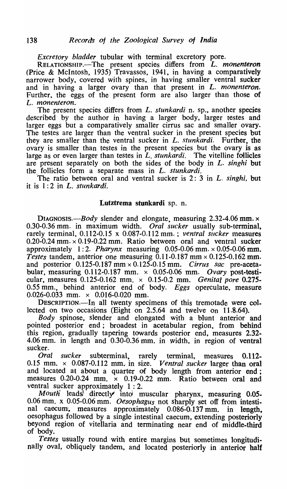*Excretory bladder* tubular with terminal excretory pore.

RELATIONSHIP.<sup>--The</sup> present species differs from *L. monenteron* (Price & McIntosh, 1935) Travassos, 1941, in having a comparatively narrower body, covered with spines, in having smaller ventral sucker and in having a larger ovary than that present in *L. monenteron.*  Further, the eggs of the present form are also larger than those of L. *monenteron.* 

The present species differs from *L. stunkardi* n. sp., another species described by the author in having a larger body, larger testes and larger eggs but a comparatively smaller cirrus sac and smaller ovary. The testes are larger than the ventral sucker in the present species but they are smaller than the ventral sucker in *L. stunkardi.* Further, the ovary is smaller than testes in the present species but the ovary is as large as or even larger than testes in *L. stunkardi.* The vitelline follicles are present separately on both the sides of the body in *L. singh;* but the, follicles form a separate mass in *L. stunkardi.* 

The ratio between oral and ventral sucker is 2: 3 in *L. singhi,* but it is 1: 2 in L. *stunkardi.* 

## Lutztrema stunkardi sp. n.

*DIAGNOSIS.-Body* slender and elongate, measuring 2.32-4.06 mm. x 0.30-0.36 mm. in maximum width. *Oral sucker* usually sub-terminal, rarely terminal, 0.112-0.15 x 0.087-0.112 mm. ; *ventral Slicker* measures  $0.20 - 0.24$  mm.  $\times 0.19 - 0.22$  mm. Ratio between oral and ventral sucker approximately  $1:2$ . *Pharynx* measuring 0.05-0.06 mm.  $\times$  0.05-0.06 mm.  $T \text{ }$ estes tandem, anterior one measuring 0.11-0.187 mm × 0.125-0.162 mm. and posterior 0.125-0.187 mm x 0.125-0.15 mm. *Cirrus sac* pre-acetabular, measuring 0.112-0.187 mm. x 0.05-0.06 mm. *Ovary* post-testicular, measures 0.125-0.162 mm. x 0.15-0.2 mm. *Genital pore* 0.275- 0.55 mm., behind anterior end of body. *Eggs* operculate, measure 0.026-0.033 mm.  $\times$  0.016-0.020 mm.

DESCRIPTION.-In all twenty specimens of this tremotade were collected on two occasions (Eight on 2.5.64 and twelve on 11.8.64).

*Body* spinose, slender and elongated with a blunt anterior and pointed posterior end; broadest in acetabular region, from behind this region, gradually tapering towards posterior end, measures 2.32- 4.06 mm. in length and 0.30-0.36 mm. in width, in region of ventral sucker.

*Oral sucker* subterminal, rarely terminal, measures 0.112- 0.15 mm.  $\times$  0.087-0.112 mm. in size. *Ventral sucker* larger than oral and located at about a quarter of body length from anterior end; measures  $0.20$ -0.24 mm.  $\times$  0.19-0.22 mm. Ratio between oral and ventral sucker approximately 1 : 2.

*Mouth'* leadg,' directly intoi muscular pharynx, measuring 0.05. 0.06 mm. x 0.05-0.06 mm. *Oesophagus* not sharply set off from intestinal caecum, measures approximately 0.086-0.137 mm. in length, oesophagus followed by a single intestinal caecum, extending posteriorly beyond region of vitellaria and terminating near end of middle-third of body.

*Testes* usually round with entire margins but sometimes longitudinally oval, obliquely tandem., and located posteriorly in ,anterior half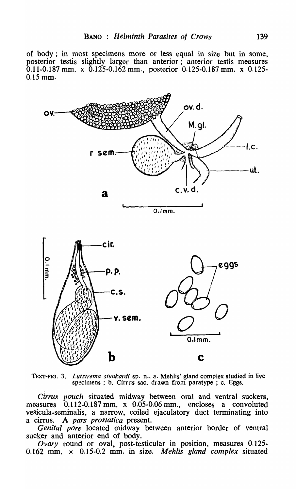of body; in most specimens more or less equal in size but in some, posterior testis slightly larger than anterior; anterior testis measures 0.11-0.187 mm. x 0.125-0.162 mm., posterior 0.125-0.187 mm. x 0.125- 0.15 mm.





*Cirrus pouch* situated midway between oral and ventral suckers, measures 0.112-0.187 mm. x 0.05-0.06 mm., encloses a convoluted vesicula-seminalis, a narrow, coiled ejaculatory duct terminating into a cirrus.. A *pars prostatica* present.

*Genital pore* located midway between anterior border of ventral sucker and anterior end of body.

*Ovary* round or oval, post-testicular in position, measures 0.125- 0.162 mm. x 0.15-0.2 mm. in size. *Mehlis gland complex* situated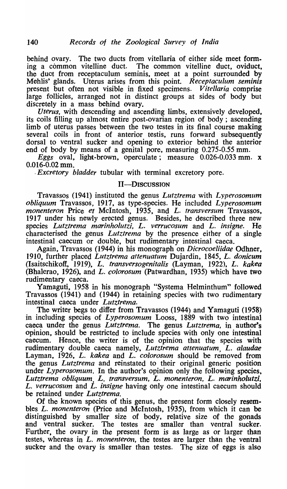behind ovary. The two ducts from vitellaria of either side meet form-<br>ing a common vitelline duct. The common vitelline duct, oviduct, The common vitelline duct, oviduct, the duct from receptaculum seminis, meet at a point surrounded by Mehlis' glands. Uterus arises from this point. *Receptaculum seminis*  present but often not visible in fixed specimens. *Vitellaria* comprise large follicles, arranged not in distinct groups at sides of body but discretely in a mass behind ovary.

*Uterus,* with descending and ascending limbs, extensively developed, its coils filling up almost entire post-ovarian region of body; ascending limb of uterus passes between the two testes in its final course making several coils in front of anterior testis, runs forward subsequently dorsal to ventral sucker and opening to exterior behind the anterior end of body by means of a genital pore, measuring 0.275-0.55 mm.

*Eggs* oval, light-brown, operculate; measure 0.026-0.033 mm. x 0.016-0.02 mm.<br>*Excretory bladder* tubular with terminal excretory pore.

### II-DISCUSSION

Travassos (1941) instituted the genus *Lutztrema* with *Lyperosomum obliquum* Travassos, 1917, as type-species. He included *Lyperosomum monenteron* Price *et* McIntosh, 1935, and *L. fransversum* Travassos, 1917 under his newly erected genus. Besides, he described three new species *Lutztrema marinholutzi, L. verrucosum* and *L. insigne.* He characterised the genus *Lutztrema* by the presence either of a single intestinal caecum or double, but rudimentary intestinal caeca.

Again, Travassos (1944) in his monograph on *Dicrocoeliidae* Odhner, 1910, further placed *Lutztrema attenuatum* Dujardin, 1845, *L. donicum*  (Isaitschikoff., 1919), *L. transversogenitalis* (Layman, 1922), *L. kakea*  (Bhalerao, 1926), and *L. colorosum* (Patwardhan, 1935) which have two rudimentary caeca.

Yamaguti, 1958 in his monograph "Systema Helminthum" followed Travassos (1941) and (1944) in retaining species with two rudimentary intestinal caeca under *Lutztrema*.

The writer begs to differ from Travassos (1944) and Yamaguti (1958) in including species of *Lyperosomum* Looss, 1889 with two intestinal caeca under the genus *Lutztrema.* The genus *Lutztrema,* in author's opinion, should be restricted to include species with only one intestinal caecum. Hence., the writer is of the opinion that the species with rudimentary double caeca namely, *Lutztrema attenuatum*, *L. alaudae* Layman, 1926, *L. kakea* and *L. colorosum* should be removed from the genus *Lutztrema* and reinstated to their original generic position under *Lyperosomum.* In the author's opinion only the following species, *Lutztrema obliquum, L. transversum, L. monenteron, L. marinholutzi, L. verrucosum* and *L. insigne* having only one intestinal caecum should be retained under *Lutztrema.* 

Of the known species of this genus, the present form closely resembles *L. monenteron* (Price and McIntosh, 1935), from which it can be distinguished by smaller size of body, relative size of the gonads and ventral sucker. The testes are smaller than ventral sucker. Further, the ovary in the present form is as large as or larger than testes, whereas in *L. monenteron*, the testes are larger than the ventral sucker and the ovary is smaller than testes. The size of eggs is also